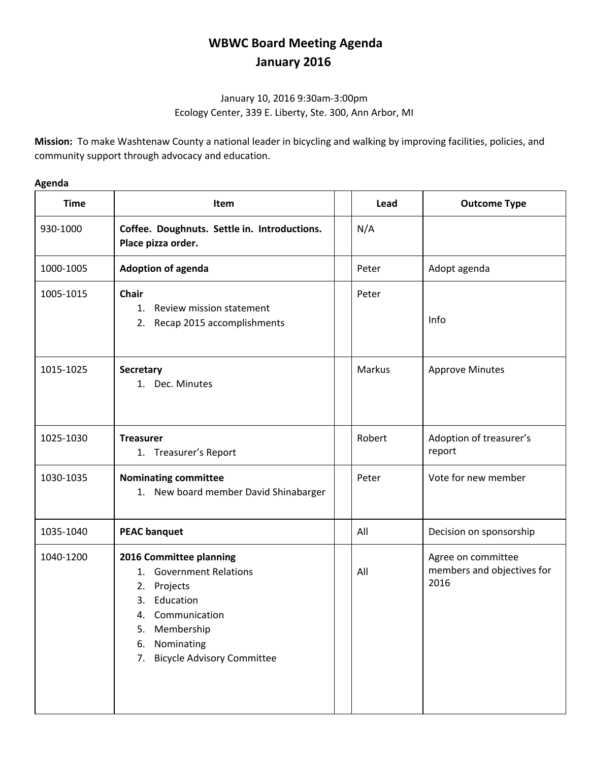# **WBWC Board Meeting Agenda January 2016**

# January 10, 2016 9:30am-3:00pm Ecology Center, 339 E. Liberty, Ste. 300, Ann Arbor, MI

**Mission:** To make Washtenaw County a national leader in bicycling and walking by improving facilities, policies, and community support through advocacy and education.

# **Time Item Lead Outcome Type** 930-1000 **Coffee. Doughnuts. Settle in. Introductions. Place pizza order.** N/A 1000-1005 **Adoption of agenda Adoption of agenda Peter** Adopt agenda 1005-1015 **Chair** 1. Review mission statement 2. Recap 2015 accomplishments Peter Info 1015-1025 **Secretary** 1. Dec. Minutes Markus | Approve Minutes 1025-1030 **Treasurer** 1. Treasurer's Report Robert | Adoption of treasurer's report 1030-1035 **Nominating committee** 1. New board member David Shinabarger Peter | Vote for new member 1035-1040 **PEAC banquet All Decision on sponsorship** 1040-1200 **2016 Committee planning** 1. Government Relations 2. Projects 3. Education 4. Communication 5. Membership 6. Nominating All Agree on committee members and objectives for 2016

7. Bicycle Advisory Committee

#### **Agenda**